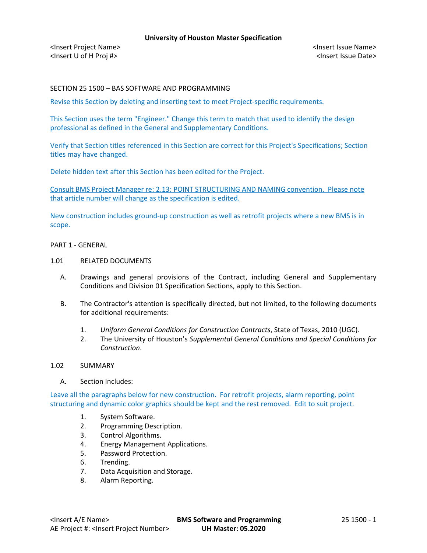<Insert Project Name> <Insert Issue Name> <Insert U of H Proj #> <Insert Issue Date>

# SECTION 25 1500 – BAS SOFTWARE AND PROGRAMMING

Revise this Section by deleting and inserting text to meet Project-specific requirements.

This Section uses the term "Engineer." Change this term to match that used to identify the design professional as defined in the General and Supplementary Conditions.

Verify that Section titles referenced in this Section are correct for this Project's Specifications; Section titles may have changed.

Delete hidden text after this Section has been edited for the Project.

Consult BMS Project Manager re: 2.13: POINT STRUCTURING AND NAMING convention. Please note that article number will change as the specification is edited.

New construction includes ground-up construction as well as retrofit projects where a new BMS is in scope.

### PART 1 - GENERAL

# 1.01 RELATED DOCUMENTS

- A. Drawings and general provisions of the Contract, including General and Supplementary Conditions and Division 01 Specification Sections, apply to this Section.
- B. The Contractor's attention is specifically directed, but not limited, to the following documents for additional requirements:
	- 1. *Uniform General Conditions for Construction Contracts*, State of Texas, 2010 (UGC).
	- 2. The University of Houston's *Supplemental General Conditions and Special Conditions for Construction*.

# 1.02 SUMMARY

A. Section Includes:

Leave all the paragraphs below for new construction. For retrofit projects, alarm reporting, point structuring and dynamic color graphics should be kept and the rest removed. Edit to suit project.

- 1. System Software.
- 2. Programming Description.
- 3. Control Algorithms.
- 4. Energy Management Applications.
- 5. Password Protection.
- 6. Trending.
- 7. Data Acquisition and Storage.
- 8. Alarm Reporting.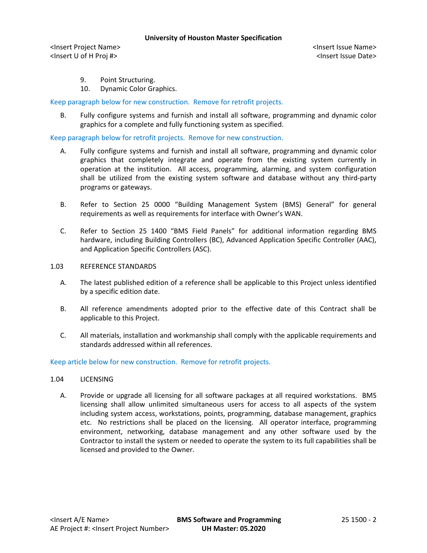<Insert Project Name> <Insert Issue Name> <Insert U of H Proj #> <Insert Issue Date>

- 9. Point Structuring.
- 10. Dynamic Color Graphics.

## Keep paragraph below for new construction. Remove for retrofit projects.

B. Fully configure systems and furnish and install all software, programming and dynamic color graphics for a complete and fully functioning system as specified.

Keep paragraph below for retrofit projects. Remove for new construction.

- A. Fully configure systems and furnish and install all software, programming and dynamic color graphics that completely integrate and operate from the existing system currently in operation at the institution. All access, programming, alarming, and system configuration shall be utilized from the existing system software and database without any third-party programs or gateways.
- B. Refer to Section 25 0000 "Building Management System (BMS) General" for general requirements as well as requirements for interface with Owner's WAN.
- C. Refer to Section 25 1400 "BMS Field Panels" for additional information regarding BMS hardware, including Building Controllers (BC), Advanced Application Specific Controller (AAC), and Application Specific Controllers (ASC).

#### 1.03 REFERENCE STANDARDS

- A. The latest published edition of a reference shall be applicable to this Project unless identified by a specific edition date.
- B. All reference amendments adopted prior to the effective date of this Contract shall be applicable to this Project.
- C. All materials, installation and workmanship shall comply with the applicable requirements and standards addressed within all references.

## Keep article below for new construction. Remove for retrofit projects.

## 1.04 LICENSING

A. Provide or upgrade all licensing for all software packages at all required workstations. BMS licensing shall allow unlimited simultaneous users for access to all aspects of the system including system access, workstations, points, programming, database management, graphics etc. No restrictions shall be placed on the licensing. All operator interface, programming environment, networking, database management and any other software used by the Contractor to install the system or needed to operate the system to its full capabilities shall be licensed and provided to the Owner.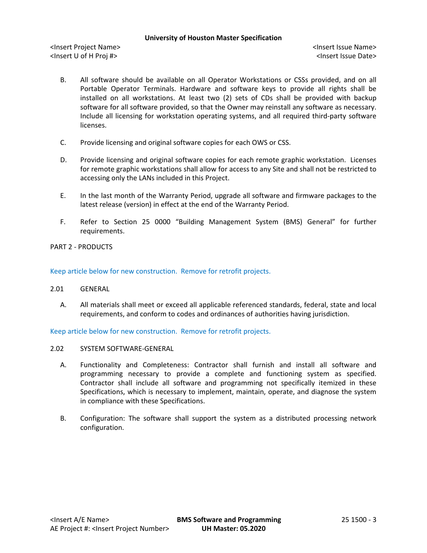<Insert Project Name> <Insert Issue Name> <Insert U of H Proj #> <Insert Issue Date>

- B. All software should be available on all Operator Workstations or CSSs provided, and on all Portable Operator Terminals. Hardware and software keys to provide all rights shall be installed on all workstations. At least two (2) sets of CDs shall be provided with backup software for all software provided, so that the Owner may reinstall any software as necessary. Include all licensing for workstation operating systems, and all required third-party software licenses.
- C. Provide licensing and original software copies for each OWS or CSS.
- D. Provide licensing and original software copies for each remote graphic workstation. Licenses for remote graphic workstations shall allow for access to any Site and shall not be restricted to accessing only the LANs included in this Project.
- E. In the last month of the Warranty Period, upgrade all software and firmware packages to the latest release (version) in effect at the end of the Warranty Period.
- F. Refer to Section 25 0000 "Building Management System (BMS) General" for further requirements.

# PART 2 - PRODUCTS

Keep article below for new construction. Remove for retrofit projects.

- 2.01 GENERAL
	- A. All materials shall meet or exceed all applicable referenced standards, federal, state and local requirements, and conform to codes and ordinances of authorities having jurisdiction.

Keep article below for new construction. Remove for retrofit projects.

- 2.02 SYSTEM SOFTWARE-GENERAL
	- A. Functionality and Completeness: Contractor shall furnish and install all software and programming necessary to provide a complete and functioning system as specified. Contractor shall include all software and programming not specifically itemized in these Specifications, which is necessary to implement, maintain, operate, and diagnose the system in compliance with these Specifications.
	- B. Configuration: The software shall support the system as a distributed processing network configuration.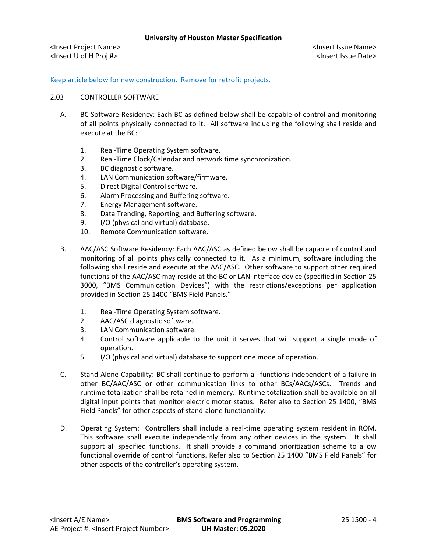Keep article below for new construction. Remove for retrofit projects.

## 2.03 CONTROLLER SOFTWARE

- A. BC Software Residency: Each BC as defined below shall be capable of control and monitoring of all points physically connected to it. All software including the following shall reside and execute at the BC:
	- 1. Real-Time Operating System software.
	- 2. Real-Time Clock/Calendar and network time synchronization.
	- 3. BC diagnostic software.
	- 4. LAN Communication software/firmware.
	- 5. Direct Digital Control software.
	- 6. Alarm Processing and Buffering software.
	- 7. Energy Management software.
	- 8. Data Trending, Reporting, and Buffering software.
	- 9. I/O (physical and virtual) database.
	- 10. Remote Communication software.
- B. AAC/ASC Software Residency: Each AAC/ASC as defined below shall be capable of control and monitoring of all points physically connected to it. As a minimum, software including the following shall reside and execute at the AAC/ASC. Other software to support other required functions of the AAC/ASC may reside at the BC or LAN interface device (specified in Section 25 3000, "BMS Communication Devices") with the restrictions/exceptions per application provided in Section 25 1400 "BMS Field Panels."
	- 1. Real-Time Operating System software.
	- 2. AAC/ASC diagnostic software.
	- 3. LAN Communication software.
	- 4. Control software applicable to the unit it serves that will support a single mode of operation.
	- 5. I/O (physical and virtual) database to support one mode of operation.
- C. Stand Alone Capability: BC shall continue to perform all functions independent of a failure in other BC/AAC/ASC or other communication links to other BCs/AACs/ASCs. Trends and runtime totalization shall be retained in memory. Runtime totalization shall be available on all digital input points that monitor electric motor status. Refer also to Section 25 1400, "BMS Field Panels" for other aspects of stand-alone functionality.
- D. Operating System: Controllers shall include a real-time operating system resident in ROM. This software shall execute independently from any other devices in the system. It shall support all specified functions. It shall provide a command prioritization scheme to allow functional override of control functions. Refer also to Section 25 1400 "BMS Field Panels" for other aspects of the controller's operating system.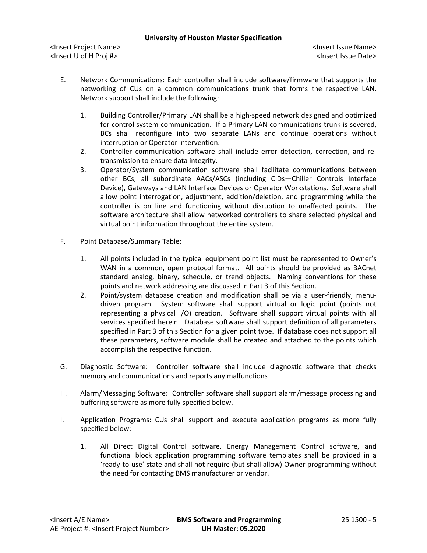- E. Network Communications: Each controller shall include software/firmware that supports the networking of CUs on a common communications trunk that forms the respective LAN. Network support shall include the following:
	- 1. Building Controller/Primary LAN shall be a high-speed network designed and optimized for control system communication. If a Primary LAN communications trunk is severed, BCs shall reconfigure into two separate LANs and continue operations without interruption or Operator intervention.
	- 2. Controller communication software shall include error detection, correction, and retransmission to ensure data integrity.
	- 3. Operator/System communication software shall facilitate communications between other BCs, all subordinate AACs/ASCs (including CIDs—Chiller Controls Interface Device), Gateways and LAN Interface Devices or Operator Workstations. Software shall allow point interrogation, adjustment, addition/deletion, and programming while the controller is on line and functioning without disruption to unaffected points. The software architecture shall allow networked controllers to share selected physical and virtual point information throughout the entire system.
- F. Point Database/Summary Table:
	- 1. All points included in the typical equipment point list must be represented to Owner's WAN in a common, open protocol format. All points should be provided as BACnet standard analog, binary, schedule, or trend objects. Naming conventions for these points and network addressing are discussed in Part 3 of this Section.
	- 2. Point/system database creation and modification shall be via a user-friendly, menudriven program. System software shall support virtual or logic point (points not representing a physical I/O) creation. Software shall support virtual points with all services specified herein. Database software shall support definition of all parameters specified in Part 3 of this Section for a given point type. If database does not support all these parameters, software module shall be created and attached to the points which accomplish the respective function.
- G. Diagnostic Software: Controller software shall include diagnostic software that checks memory and communications and reports any malfunctions
- H. Alarm/Messaging Software: Controller software shall support alarm/message processing and buffering software as more fully specified below.
- I. Application Programs: CUs shall support and execute application programs as more fully specified below:
	- 1. All Direct Digital Control software, Energy Management Control software, and functional block application programming software templates shall be provided in a 'ready-to-use' state and shall not require (but shall allow) Owner programming without the need for contacting BMS manufacturer or vendor.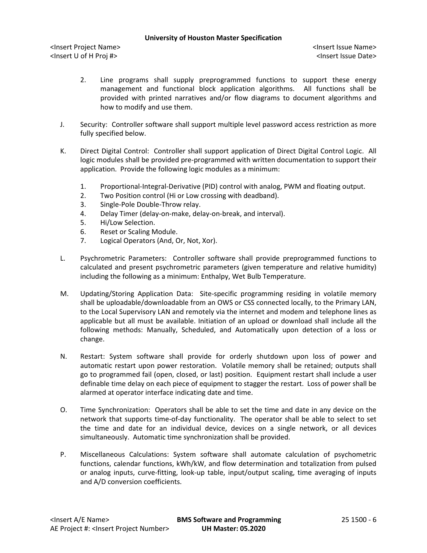- 2. Line programs shall supply preprogrammed functions to support these energy management and functional block application algorithms. All functions shall be provided with printed narratives and/or flow diagrams to document algorithms and how to modify and use them.
- J. Security: Controller software shall support multiple level password access restriction as more fully specified below.
- K. Direct Digital Control: Controller shall support application of Direct Digital Control Logic. All logic modules shall be provided pre-programmed with written documentation to support their application. Provide the following logic modules as a minimum:
	- 1. Proportional-Integral-Derivative (PID) control with analog, PWM and floating output.
	- 2. Two Position control (Hi or Low crossing with deadband).
	- 3. Single-Pole Double-Throw relay.
	- 4. Delay Timer (delay-on-make, delay-on-break, and interval).
	- 5. Hi/Low Selection.
	- 6. Reset or Scaling Module.
	- 7. Logical Operators (And, Or, Not, Xor).
- L. Psychrometric Parameters: Controller software shall provide preprogrammed functions to calculated and present psychrometric parameters (given temperature and relative humidity) including the following as a minimum: Enthalpy, Wet Bulb Temperature.
- M. Updating/Storing Application Data: Site-specific programming residing in volatile memory shall be uploadable/downloadable from an OWS or CSS connected locally, to the Primary LAN, to the Local Supervisory LAN and remotely via the internet and modem and telephone lines as applicable but all must be available. Initiation of an upload or download shall include all the following methods: Manually, Scheduled, and Automatically upon detection of a loss or change.
- N. Restart: System software shall provide for orderly shutdown upon loss of power and automatic restart upon power restoration. Volatile memory shall be retained; outputs shall go to programmed fail (open, closed, or last) position. Equipment restart shall include a user definable time delay on each piece of equipment to stagger the restart. Loss of power shall be alarmed at operator interface indicating date and time.
- O. Time Synchronization: Operators shall be able to set the time and date in any device on the network that supports time-of-day functionality. The operator shall be able to select to set the time and date for an individual device, devices on a single network, or all devices simultaneously. Automatic time synchronization shall be provided.
- P. Miscellaneous Calculations: System software shall automate calculation of psychometric functions, calendar functions, kWh/kW, and flow determination and totalization from pulsed or analog inputs, curve-fitting, look-up table, input/output scaling, time averaging of inputs and A/D conversion coefficients.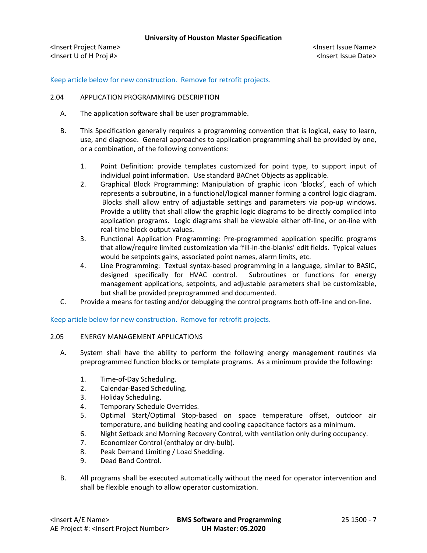<Insert Project Name> <Insert Issue Name> <Insert U of H Proj #> <Insert Issue Date>

# Keep article below for new construction. Remove for retrofit projects.

### 2.04 APPLICATION PROGRAMMING DESCRIPTION

- A. The application software shall be user programmable.
- B. This Specification generally requires a programming convention that is logical, easy to learn, use, and diagnose. General approaches to application programming shall be provided by one, or a combination, of the following conventions:
	- 1. Point Definition: provide templates customized for point type, to support input of individual point information. Use standard BACnet Objects as applicable.
	- 2. Graphical Block Programming: Manipulation of graphic icon 'blocks', each of which represents a subroutine, in a functional/logical manner forming a control logic diagram. Blocks shall allow entry of adjustable settings and parameters via pop-up windows. Provide a utility that shall allow the graphic logic diagrams to be directly compiled into application programs. Logic diagrams shall be viewable either off-line, or on-line with real-time block output values.
	- 3. Functional Application Programming: Pre-programmed application specific programs that allow/require limited customization via 'fill-in-the-blanks' edit fields. Typical values would be setpoints gains, associated point names, alarm limits, etc.
	- 4. Line Programming: Textual syntax-based programming in a language, similar to BASIC, designed specifically for HVAC control. Subroutines or functions for energy management applications, setpoints, and adjustable parameters shall be customizable, but shall be provided preprogrammed and documented.
- C. Provide a means for testing and/or debugging the control programs both off-line and on-line.

## Keep article below for new construction. Remove for retrofit projects.

## 2.05 ENERGY MANAGEMENT APPLICATIONS

- A. System shall have the ability to perform the following energy management routines via preprogrammed function blocks or template programs. As a minimum provide the following:
	- 1. Time-of-Day Scheduling.
	- 2. Calendar-Based Scheduling.
	- 3. Holiday Scheduling.
	- 4. Temporary Schedule Overrides.
	- 5. Optimal Start/Optimal Stop-based on space temperature offset, outdoor air temperature, and building heating and cooling capacitance factors as a minimum.
	- 6. Night Setback and Morning Recovery Control, with ventilation only during occupancy.
	- 7. Economizer Control (enthalpy or dry-bulb).
	- 8. Peak Demand Limiting / Load Shedding.
	- 9. Dead Band Control.
- B. All programs shall be executed automatically without the need for operator intervention and shall be flexible enough to allow operator customization.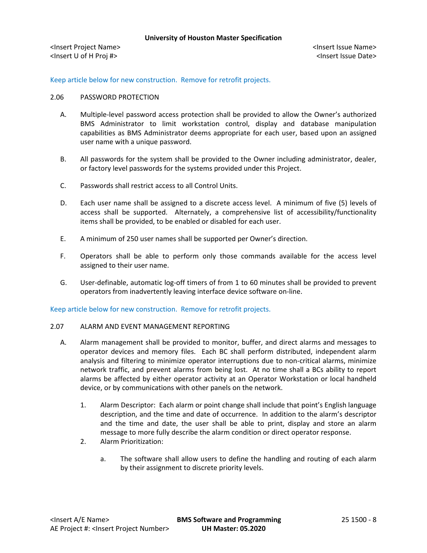Keep article below for new construction. Remove for retrofit projects.

## 2.06 PASSWORD PROTECTION

- A. Multiple-level password access protection shall be provided to allow the Owner's authorized BMS Administrator to limit workstation control, display and database manipulation capabilities as BMS Administrator deems appropriate for each user, based upon an assigned user name with a unique password.
- B. All passwords for the system shall be provided to the Owner including administrator, dealer, or factory level passwords for the systems provided under this Project.
- C. Passwords shall restrict access to all Control Units.
- D. Each user name shall be assigned to a discrete access level. A minimum of five (5) levels of access shall be supported. Alternately, a comprehensive list of accessibility/functionality items shall be provided, to be enabled or disabled for each user.
- E. A minimum of 250 user names shall be supported per Owner's direction.
- F. Operators shall be able to perform only those commands available for the access level assigned to their user name.
- G. User-definable, automatic log-off timers of from 1 to 60 minutes shall be provided to prevent operators from inadvertently leaving interface device software on-line.

Keep article below for new construction. Remove for retrofit projects.

## 2.07 ALARM AND EVENT MANAGEMENT REPORTING

- A. Alarm management shall be provided to monitor, buffer, and direct alarms and messages to operator devices and memory files. Each BC shall perform distributed, independent alarm analysis and filtering to minimize operator interruptions due to non-critical alarms, minimize network traffic, and prevent alarms from being lost. At no time shall a BCs ability to report alarms be affected by either operator activity at an Operator Workstation or local handheld device, or by communications with other panels on the network.
	- 1. Alarm Descriptor: Each alarm or point change shall include that point's English language description, and the time and date of occurrence. In addition to the alarm's descriptor and the time and date, the user shall be able to print, display and store an alarm message to more fully describe the alarm condition or direct operator response.
	- 2. Alarm Prioritization:
		- a. The software shall allow users to define the handling and routing of each alarm by their assignment to discrete priority levels.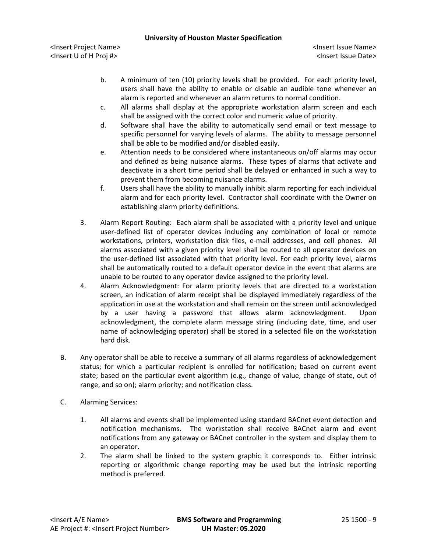- b. A minimum of ten (10) priority levels shall be provided. For each priority level, users shall have the ability to enable or disable an audible tone whenever an alarm is reported and whenever an alarm returns to normal condition.
- c. All alarms shall display at the appropriate workstation alarm screen and each shall be assigned with the correct color and numeric value of priority.
- d. Software shall have the ability to automatically send email or text message to specific personnel for varying levels of alarms. The ability to message personnel shall be able to be modified and/or disabled easily.
- e. Attention needs to be considered where instantaneous on/off alarms may occur and defined as being nuisance alarms. These types of alarms that activate and deactivate in a short time period shall be delayed or enhanced in such a way to prevent them from becoming nuisance alarms.
- f. Users shall have the ability to manually inhibit alarm reporting for each individual alarm and for each priority level. Contractor shall coordinate with the Owner on establishing alarm priority definitions.
- 3. Alarm Report Routing: Each alarm shall be associated with a priority level and unique user-defined list of operator devices including any combination of local or remote workstations, printers, workstation disk files, e-mail addresses, and cell phones. All alarms associated with a given priority level shall be routed to all operator devices on the user-defined list associated with that priority level. For each priority level, alarms shall be automatically routed to a default operator device in the event that alarms are unable to be routed to any operator device assigned to the priority level.
- 4. Alarm Acknowledgment: For alarm priority levels that are directed to a workstation screen, an indication of alarm receipt shall be displayed immediately regardless of the application in use at the workstation and shall remain on the screen until acknowledged by a user having a password that allows alarm acknowledgment. Upon acknowledgment, the complete alarm message string (including date, time, and user name of acknowledging operator) shall be stored in a selected file on the workstation hard disk.
- B. Any operator shall be able to receive a summary of all alarms regardless of acknowledgement status; for which a particular recipient is enrolled for notification; based on current event state; based on the particular event algorithm (e.g., change of value, change of state, out of range, and so on); alarm priority; and notification class.
- C. Alarming Services:
	- 1. All alarms and events shall be implemented using standard BACnet event detection and notification mechanisms. The workstation shall receive BACnet alarm and event notifications from any gateway or BACnet controller in the system and display them to an operator.
	- 2. The alarm shall be linked to the system graphic it corresponds to. Either intrinsic reporting or algorithmic change reporting may be used but the intrinsic reporting method is preferred.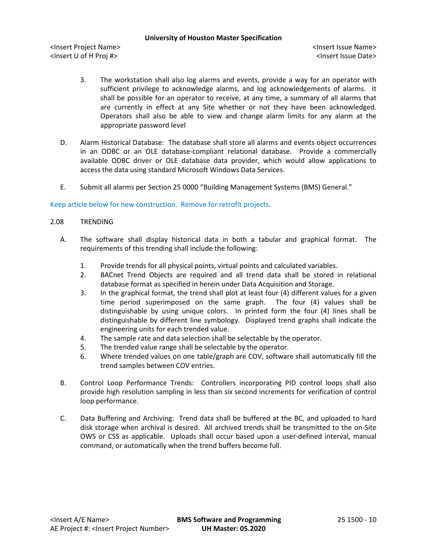<Insert Project Name> <Insert Issue Name> <Insert U of H Proj #> <Insert Issue Date>

- 3. The workstation shall also log alarms and events, provide a way for an operator with sufficient privilege to acknowledge alarms, and log acknowledgements of alarms. It shall be possible for an operator to receive, at any time, a summary of all alarms that are currently in effect at any Site whether or not they have been acknowledged. Operators shall also be able to view and change alarm limits for any alarm at the appropriate password level
- D. Alarm Historical Database: The database shall store all alarms and events object occurrences in an ODBC or an OLE database-compliant relational database. Provide a commercially available ODBC driver or OLE database data provider, which would allow applications to access the data using standard Microsoft Windows Data Services.
- E. Submit all alarms per Section 25 0000 "Building Management Systems (BMS) General."

## Keep article below for new construction. Remove for retrofit projects.

## 2.08 TRENDING

- A. The software shall display historical data in both a tabular and graphical format. The requirements of this trending shall include the following:
	- 1. Provide trends for all physical points, virtual points and calculated variables.
	- 2. BACnet Trend Objects are required and all trend data shall be stored in relational database format as specified in herein under Data Acquisition and Storage.
	- 3. In the graphical format, the trend shall plot at least four (4) different values for a given time period superimposed on the same graph. The four (4) values shall be distinguishable by using unique colors. In printed form the four (4) lines shall be distinguishable by different line symbology. Displayed trend graphs shall indicate the engineering units for each trended value.
	- 4. The sample rate and data selection shall be selectable by the operator.
	- 5. The trended value range shall be selectable by the operator.
	- 6. Where trended values on one table/graph are COV, software shall automatically fill the trend samples between COV entries.
- B. Control Loop Performance Trends: Controllers incorporating PID control loops shall also provide high resolution sampling in less than six second increments for verification of control loop performance.
- C. Data Buffering and Archiving: Trend data shall be buffered at the BC, and uploaded to hard disk storage when archival is desired. All archived trends shall be transmitted to the on-Site OWS or CSS as applicable. Uploads shall occur based upon a user-defined interval, manual command, or automatically when the trend buffers become full.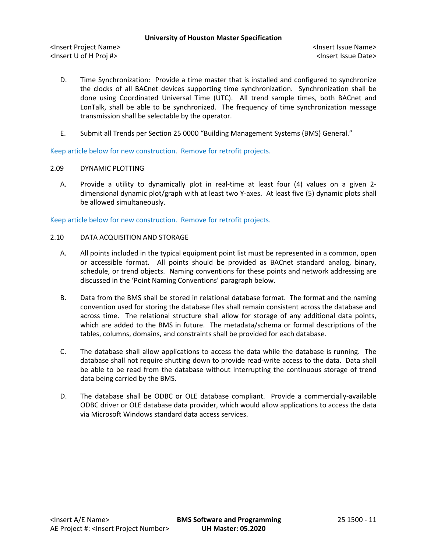<Insert Project Name> <Insert Issue Name> <Insert U of H Proj #> <Insert Issue Date>

- D. Time Synchronization: Provide a time master that is installed and configured to synchronize the clocks of all BACnet devices supporting time synchronization. Synchronization shall be done using Coordinated Universal Time (UTC). All trend sample times, both BACnet and LonTalk, shall be able to be synchronized. The frequency of time synchronization message transmission shall be selectable by the operator.
- E. Submit all Trends per Section 25 0000 "Building Management Systems (BMS) General."

Keep article below for new construction. Remove for retrofit projects.

## 2.09 DYNAMIC PLOTTING

A. Provide a utility to dynamically plot in real-time at least four (4) values on a given 2 dimensional dynamic plot/graph with at least two Y-axes. At least five (5) dynamic plots shall be allowed simultaneously.

Keep article below for new construction. Remove for retrofit projects.

# 2.10 DATA ACQUISITION AND STORAGE

- A. All points included in the typical equipment point list must be represented in a common, open or accessible format. All points should be provided as BACnet standard analog, binary, schedule, or trend objects. Naming conventions for these points and network addressing are discussed in the 'Point Naming Conventions' paragraph below.
- B. Data from the BMS shall be stored in relational database format. The format and the naming convention used for storing the database files shall remain consistent across the database and across time. The relational structure shall allow for storage of any additional data points, which are added to the BMS in future. The metadata/schema or formal descriptions of the tables, columns, domains, and constraints shall be provided for each database.
- C. The database shall allow applications to access the data while the database is running. The database shall not require shutting down to provide read-write access to the data. Data shall be able to be read from the database without interrupting the continuous storage of trend data being carried by the BMS.
- D. The database shall be ODBC or OLE database compliant. Provide a commercially-available ODBC driver or OLE database data provider, which would allow applications to access the data via Microsoft Windows standard data access services.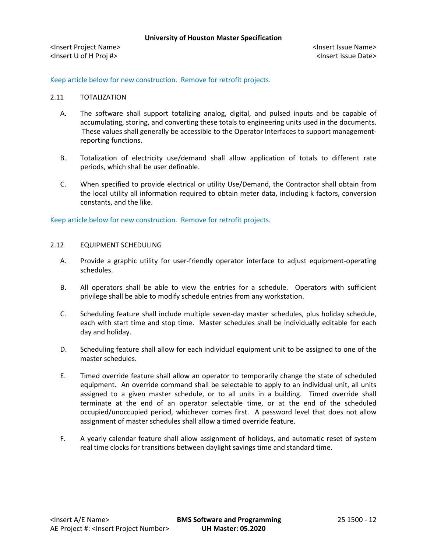Keep article below for new construction. Remove for retrofit projects.

## 2.11 TOTALIZATION

- A. The software shall support totalizing analog, digital, and pulsed inputs and be capable of accumulating, storing, and converting these totals to engineering units used in the documents. These values shall generally be accessible to the Operator Interfaces to support managementreporting functions.
- B. Totalization of electricity use/demand shall allow application of totals to different rate periods, which shall be user definable.
- C. When specified to provide electrical or utility Use/Demand, the Contractor shall obtain from the local utility all information required to obtain meter data, including k factors, conversion constants, and the like.

Keep article below for new construction. Remove for retrofit projects.

- 2.12 EQUIPMENT SCHEDULING
	- A. Provide a graphic utility for user-friendly operator interface to adjust equipment-operating schedules.
	- B. All operators shall be able to view the entries for a schedule. Operators with sufficient privilege shall be able to modify schedule entries from any workstation.
	- C. Scheduling feature shall include multiple seven-day master schedules, plus holiday schedule, each with start time and stop time. Master schedules shall be individually editable for each day and holiday.
	- D. Scheduling feature shall allow for each individual equipment unit to be assigned to one of the master schedules.
	- E. Timed override feature shall allow an operator to temporarily change the state of scheduled equipment. An override command shall be selectable to apply to an individual unit, all units assigned to a given master schedule, or to all units in a building. Timed override shall terminate at the end of an operator selectable time, or at the end of the scheduled occupied/unoccupied period, whichever comes first. A password level that does not allow assignment of master schedules shall allow a timed override feature.
	- F. A yearly calendar feature shall allow assignment of holidays, and automatic reset of system real time clocks for transitions between daylight savings time and standard time.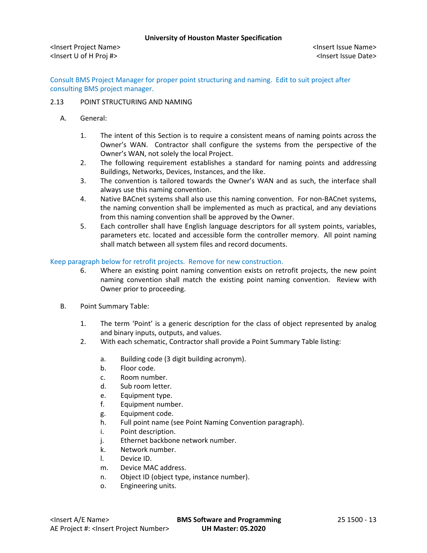Consult BMS Project Manager for proper point structuring and naming. Edit to suit project after consulting BMS project manager.

# 2.13 POINT STRUCTURING AND NAMING

- A. General:
	- 1. The intent of this Section is to require a consistent means of naming points across the Owner's WAN. Contractor shall configure the systems from the perspective of the Owner's WAN, not solely the local Project.
	- 2. The following requirement establishes a standard for naming points and addressing Buildings, Networks, Devices, Instances, and the like.
	- 3. The convention is tailored towards the Owner's WAN and as such, the interface shall always use this naming convention.
	- 4. Native BACnet systems shall also use this naming convention. For non-BACnet systems, the naming convention shall be implemented as much as practical, and any deviations from this naming convention shall be approved by the Owner.
	- 5. Each controller shall have English language descriptors for all system points, variables, parameters etc. located and accessible form the controller memory. All point naming shall match between all system files and record documents.

# Keep paragraph below for retrofit projects. Remove for new construction.

- 6. Where an existing point naming convention exists on retrofit projects, the new point naming convention shall match the existing point naming convention. Review with Owner prior to proceeding.
- B. Point Summary Table:
	- 1. The term 'Point' is a generic description for the class of object represented by analog and binary inputs, outputs, and values.
	- 2. With each schematic, Contractor shall provide a Point Summary Table listing:
		- a. Building code (3 digit building acronym).
		- b. Floor code.
		- c. Room number.
		- d. Sub room letter.
		- e. Equipment type.
		- f. Equipment number.
		- g. Equipment code.
		- h. Full point name (see Point Naming Convention paragraph).
		- i. Point description.
		- j. Ethernet backbone network number.
		- k. Network number.
		- l. Device ID.
		- m. Device MAC address.
		- n. Object ID (object type, instance number).
		- o. Engineering units.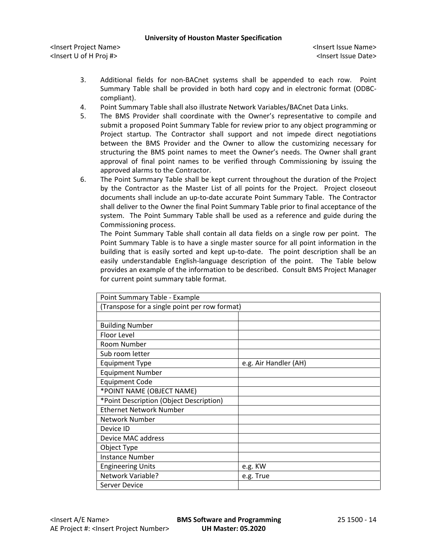<Insert Project Name> <Insert Issue Name> <Insert U of H Proj #> <Insert Issue Date>

- 3. Additional fields for non-BACnet systems shall be appended to each row. Point Summary Table shall be provided in both hard copy and in electronic format (ODBCcompliant).
- 4. Point Summary Table shall also illustrate Network Variables/BACnet Data Links.
- 5. The BMS Provider shall coordinate with the Owner's representative to compile and submit a proposed Point Summary Table for review prior to any object programming or Project startup. The Contractor shall support and not impede direct negotiations between the BMS Provider and the Owner to allow the customizing necessary for structuring the BMS point names to meet the Owner's needs. The Owner shall grant approval of final point names to be verified through Commissioning by issuing the approved alarms to the Contractor.
- 6. The Point Summary Table shall be kept current throughout the duration of the Project by the Contractor as the Master List of all points for the Project. Project closeout documents shall include an up-to-date accurate Point Summary Table. The Contractor shall deliver to the Owner the final Point Summary Table prior to final acceptance of the system. The Point Summary Table shall be used as a reference and guide during the Commissioning process.

The Point Summary Table shall contain all data fields on a single row per point. The Point Summary Table is to have a single master source for all point information in the building that is easily sorted and kept up-to-date. The point description shall be an easily understandable English-language description of the point. The Table below provides an example of the information to be described. Consult BMS Project Manager for current point summary table format.

| Point Summary Table - Example                 |                       |
|-----------------------------------------------|-----------------------|
| (Transpose for a single point per row format) |                       |
|                                               |                       |
| <b>Building Number</b>                        |                       |
| Floor Level                                   |                       |
| Room Number                                   |                       |
| Sub room letter                               |                       |
| <b>Equipment Type</b>                         | e.g. Air Handler (AH) |
| <b>Equipment Number</b>                       |                       |
| <b>Equipment Code</b>                         |                       |
| *POINT NAME (OBJECT NAME)                     |                       |
| *Point Description (Object Description)       |                       |
| <b>Ethernet Network Number</b>                |                       |
| Network Number                                |                       |
| Device ID                                     |                       |
| Device MAC address                            |                       |
| Object Type                                   |                       |
| <b>Instance Number</b>                        |                       |
| <b>Engineering Units</b>                      | e.g. KW               |
| Network Variable?                             | e.g. True             |
| Server Device                                 |                       |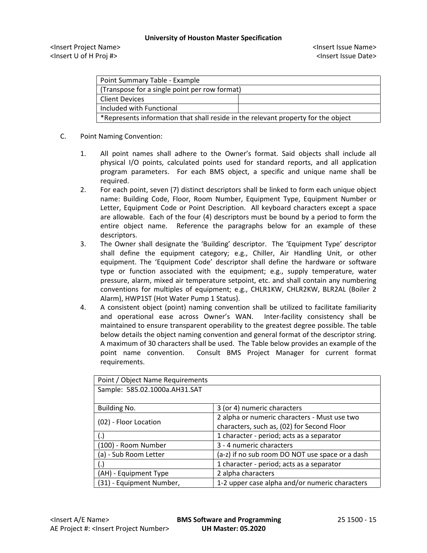<Insert Project Name> <Insert Issue Name> <Insert U of H Proj #> <Insert Issue Date>

| Point Summary Table - Example                                                     |  |  |
|-----------------------------------------------------------------------------------|--|--|
| (Transpose for a single point per row format)                                     |  |  |
| <b>Client Devices</b>                                                             |  |  |
| Included with Functional                                                          |  |  |
| *Represents information that shall reside in the relevant property for the object |  |  |

# C. Point Naming Convention:

- 1. All point names shall adhere to the Owner's format. Said objects shall include all physical I/O points, calculated points used for standard reports, and all application program parameters. For each BMS object, a specific and unique name shall be required.
- 2. For each point, seven (7) distinct descriptors shall be linked to form each unique object name: Building Code, Floor, Room Number, Equipment Type, Equipment Number or Letter, Equipment Code or Point Description. All keyboard characters except a space are allowable. Each of the four (4) descriptors must be bound by a period to form the entire object name. Reference the paragraphs below for an example of these descriptors.
- 3. The Owner shall designate the 'Building' descriptor. The 'Equipment Type' descriptor shall define the equipment category; e.g., Chiller, Air Handling Unit, or other equipment. The 'Equipment Code' descriptor shall define the hardware or software type or function associated with the equipment; e.g., supply temperature, water pressure, alarm, mixed air temperature setpoint, etc. and shall contain any numbering conventions for multiples of equipment; e.g., CHLR1KW, CHLR2KW, BLR2AL (Boiler 2 Alarm), HWP1ST (Hot Water Pump 1 Status).
- 4. A consistent object (point) naming convention shall be utilized to facilitate familiarity and operational ease across Owner's WAN. Inter-facility consistency shall be maintained to ensure transparent operability to the greatest degree possible. The table below details the object naming convention and general format of the descriptor string. A maximum of 30 characters shall be used. The Table below provides an example of the point name convention. Consult BMS Project Manager for current format requirements.

| Point / Object Name Requirements |                                                 |
|----------------------------------|-------------------------------------------------|
| Sample: 585.02.1000a.AH31.SAT    |                                                 |
|                                  |                                                 |
| Building No.                     | 3 (or 4) numeric characters                     |
| (02) - Floor Location            | 2 alpha or numeric characters - Must use two    |
|                                  | characters, such as, (02) for Second Floor      |
| (.)                              | 1 character - period; acts as a separator       |
| (100) - Room Number              | 3 - 4 numeric characters                        |
| (a) - Sub Room Letter            | (a-z) if no sub room DO NOT use space or a dash |
| (.)                              | 1 character - period; acts as a separator       |
| (AH) - Equipment Type            | 2 alpha characters                              |
| (31) - Equipment Number,         | 1-2 upper case alpha and/or numeric characters  |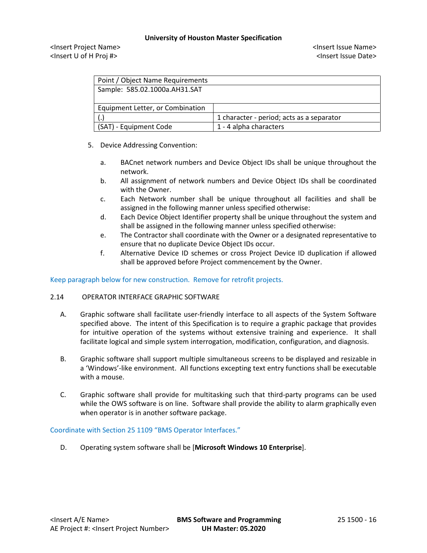<Insert Project Name> <Insert Issue Name> <Insert U of H Proj #> <Insert Issue Date>

| Point / Object Name Requirements |                                           |
|----------------------------------|-------------------------------------------|
| Sample: 585.02.1000a.AH31.SAT    |                                           |
|                                  |                                           |
| Equipment Letter, or Combination |                                           |
|                                  | 1 character - period; acts as a separator |
| (SAT) - Equipment Code           | 1 - 4 alpha characters                    |

- 5. Device Addressing Convention:
	- a. BACnet network numbers and Device Object IDs shall be unique throughout the network.
	- b. All assignment of network numbers and Device Object IDs shall be coordinated with the Owner.
	- c. Each Network number shall be unique throughout all facilities and shall be assigned in the following manner unless specified otherwise:
	- d. Each Device Object Identifier property shall be unique throughout the system and shall be assigned in the following manner unless specified otherwise:
	- e. The Contractor shall coordinate with the Owner or a designated representative to ensure that no duplicate Device Object IDs occur.
	- f. Alternative Device ID schemes or cross Project Device ID duplication if allowed shall be approved before Project commencement by the Owner.

Keep paragraph below for new construction. Remove for retrofit projects.

## 2.14 OPERATOR INTERFACE GRAPHIC SOFTWARE

- A. Graphic software shall facilitate user-friendly interface to all aspects of the System Software specified above. The intent of this Specification is to require a graphic package that provides for intuitive operation of the systems without extensive training and experience. It shall facilitate logical and simple system interrogation, modification, configuration, and diagnosis.
- B. Graphic software shall support multiple simultaneous screens to be displayed and resizable in a 'Windows'-like environment. All functions excepting text entry functions shall be executable with a mouse.
- C. Graphic software shall provide for multitasking such that third-party programs can be used while the OWS software is on line. Software shall provide the ability to alarm graphically even when operator is in another software package.

## Coordinate with Section 25 1109 "BMS Operator Interfaces."

D. Operating system software shall be [**Microsoft Windows 10 Enterprise**].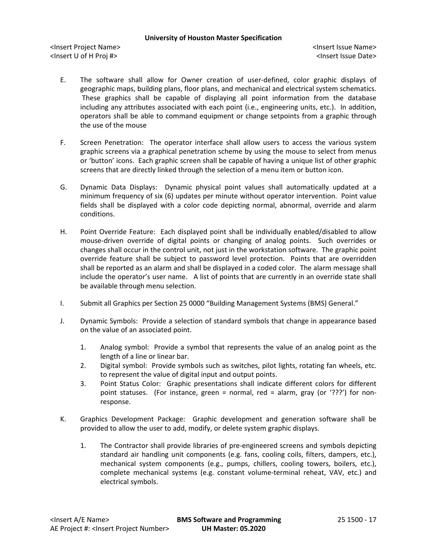- E. The software shall allow for Owner creation of user-defined, color graphic displays of geographic maps, building plans, floor plans, and mechanical and electrical system schematics. These graphics shall be capable of displaying all point information from the database including any attributes associated with each point (i.e., engineering units, etc.). In addition, operators shall be able to command equipment or change setpoints from a graphic through the use of the mouse
- F. Screen Penetration: The operator interface shall allow users to access the various system graphic screens via a graphical penetration scheme by using the mouse to select from menus or 'button' icons. Each graphic screen shall be capable of having a unique list of other graphic screens that are directly linked through the selection of a menu item or button icon.
- G. Dynamic Data Displays: Dynamic physical point values shall automatically updated at a minimum frequency of six (6) updates per minute without operator intervention. Point value fields shall be displayed with a color code depicting normal, abnormal, override and alarm conditions.
- H. Point Override Feature: Each displayed point shall be individually enabled/disabled to allow mouse-driven override of digital points or changing of analog points. Such overrides or changes shall occur in the control unit, not just in the workstation software. The graphic point override feature shall be subject to password level protection. Points that are overridden shall be reported as an alarm and shall be displayed in a coded color. The alarm message shall include the operator's user name. A list of points that are currently in an override state shall be available through menu selection.
- I. Submit all Graphics per Section 25 0000 "Building Management Systems (BMS) General."
- J. Dynamic Symbols: Provide a selection of standard symbols that change in appearance based on the value of an associated point.
	- 1. Analog symbol: Provide a symbol that represents the value of an analog point as the length of a line or linear bar.
	- 2. Digital symbol: Provide symbols such as switches, pilot lights, rotating fan wheels, etc. to represent the value of digital input and output points.
	- 3. Point Status Color: Graphic presentations shall indicate different colors for different point statuses. (For instance, green = normal, red = alarm, gray (or '???') for nonresponse.
- K. Graphics Development Package: Graphic development and generation software shall be provided to allow the user to add, modify, or delete system graphic displays.
	- 1. The Contractor shall provide libraries of pre-engineered screens and symbols depicting standard air handling unit components (e.g. fans, cooling coils, filters, dampers, etc.), mechanical system components (e.g., pumps, chillers, cooling towers, boilers, etc.), complete mechanical systems (e.g. constant volume-terminal reheat, VAV, etc.) and electrical symbols.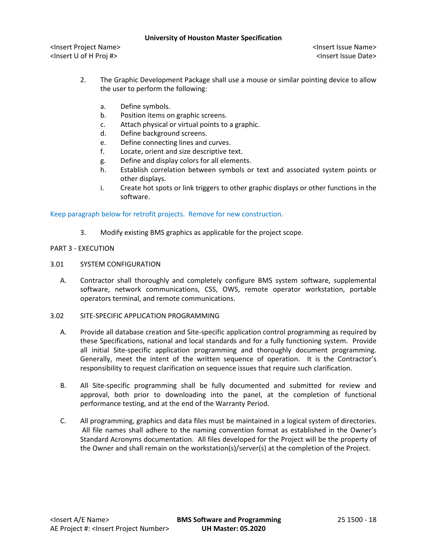<Insert Project Name> <Insert Issue Name> <Insert U of H Proj #> <Insert Issue Date>

- 2. The Graphic Development Package shall use a mouse or similar pointing device to allow the user to perform the following:
	- a. Define symbols.
	- b. Position items on graphic screens.
	- c. Attach physical or virtual points to a graphic.
	- d. Define background screens.
	- e. Define connecting lines and curves.
	- f. Locate, orient and size descriptive text.
	- g. Define and display colors for all elements.
	- h. Establish correlation between symbols or text and associated system points or other displays.
	- i. Create hot spots or link triggers to other graphic displays or other functions in the software.

Keep paragraph below for retrofit projects. Remove for new construction.

3. Modify existing BMS graphics as applicable for the project scope.

# PART 3 - EXECUTION

- 3.01 SYSTEM CONFIGURATION
	- A. Contractor shall thoroughly and completely configure BMS system software, supplemental software, network communications, CSS, OWS, remote operator workstation, portable operators terminal, and remote communications.
- 3.02 SITE-SPECIFIC APPLICATION PROGRAMMING
	- A. Provide all database creation and Site-specific application control programming as required by these Specifications, national and local standards and for a fully functioning system. Provide all initial Site-specific application programming and thoroughly document programming. Generally, meet the intent of the written sequence of operation. It is the Contractor's responsibility to request clarification on sequence issues that require such clarification.
	- B. All Site-specific programming shall be fully documented and submitted for review and approval, both prior to downloading into the panel, at the completion of functional performance testing, and at the end of the Warranty Period.
	- C. All programming, graphics and data files must be maintained in a logical system of directories. All file names shall adhere to the naming convention format as established in the Owner's Standard Acronyms documentation. All files developed for the Project will be the property of the Owner and shall remain on the workstation(s)/server(s) at the completion of the Project.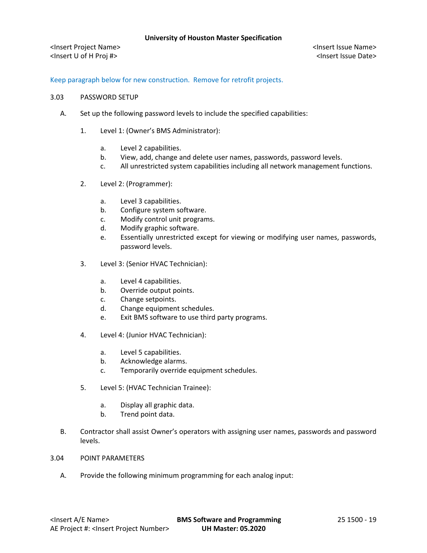<Insert Project Name> <Insert Issue Name> <Insert U of H Proj #> <Insert Issue Date>

# Keep paragraph below for new construction. Remove for retrofit projects.

### 3.03 PASSWORD SETUP

- A. Set up the following password levels to include the specified capabilities:
	- 1. Level 1: (Owner's BMS Administrator):
		- a. Level 2 capabilities.
		- b. View, add, change and delete user names, passwords, password levels.
		- c. All unrestricted system capabilities including all network management functions.
	- 2. Level 2: (Programmer):
		- a. Level 3 capabilities.
		- b. Configure system software.
		- c. Modify control unit programs.
		- d. Modify graphic software.
		- e. Essentially unrestricted except for viewing or modifying user names, passwords, password levels.
	- 3. Level 3: (Senior HVAC Technician):
		- a. Level 4 capabilities.
		- b. Override output points.
		- c. Change setpoints.
		- d. Change equipment schedules.
		- e. Exit BMS software to use third party programs.
	- 4. Level 4: (Junior HVAC Technician):
		- a. Level 5 capabilities.
		- b. Acknowledge alarms.
		- c. Temporarily override equipment schedules.
	- 5. Level 5: (HVAC Technician Trainee):
		- a. Display all graphic data.
		- b. Trend point data.
- B. Contractor shall assist Owner's operators with assigning user names, passwords and password levels.
- 3.04 POINT PARAMETERS
	- A. Provide the following minimum programming for each analog input: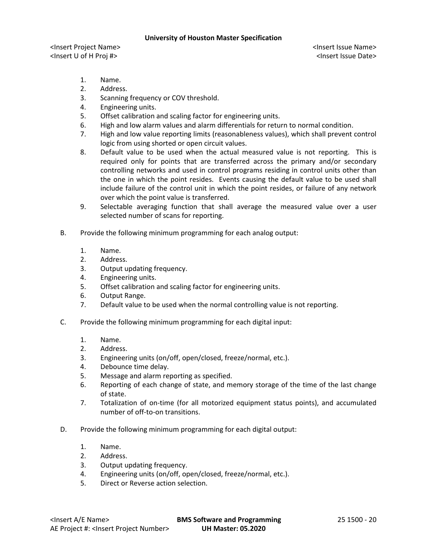- 1. Name.
- 2. Address.
- 3. Scanning frequency or COV threshold.
- 4. Engineering units.
- 5. Offset calibration and scaling factor for engineering units.
- 6. High and low alarm values and alarm differentials for return to normal condition.
- 7. High and low value reporting limits (reasonableness values), which shall prevent control logic from using shorted or open circuit values.
- 8. Default value to be used when the actual measured value is not reporting. This is required only for points that are transferred across the primary and/or secondary controlling networks and used in control programs residing in control units other than the one in which the point resides. Events causing the default value to be used shall include failure of the control unit in which the point resides, or failure of any network over which the point value is transferred.
- 9. Selectable averaging function that shall average the measured value over a user selected number of scans for reporting.
- B. Provide the following minimum programming for each analog output:
	- 1. Name.
	- 2. Address.
	- 3. Output updating frequency.
	- 4. Engineering units.
	- 5. Offset calibration and scaling factor for engineering units.
	- 6. Output Range.
	- 7. Default value to be used when the normal controlling value is not reporting.
- C. Provide the following minimum programming for each digital input:
	- 1. Name.
	- 2. Address.
	- 3. Engineering units (on/off, open/closed, freeze/normal, etc.).
	- 4. Debounce time delay.
	- 5. Message and alarm reporting as specified.
	- 6. Reporting of each change of state, and memory storage of the time of the last change of state.
	- 7. Totalization of on-time (for all motorized equipment status points), and accumulated number of off-to-on transitions.
- D. Provide the following minimum programming for each digital output:
	- 1. Name.
	- 2. Address.
	- 3. Output updating frequency.
	- 4. Engineering units (on/off, open/closed, freeze/normal, etc.).
	- 5. Direct or Reverse action selection.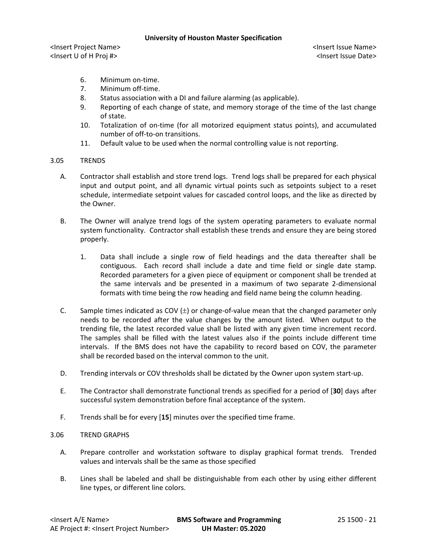<Insert Project Name> <Insert Issue Name> <Insert U of H Proj #> <Insert Issue Date>

- 6. Minimum on-time.
- 7. Minimum off-time.
- 8. Status association with a DI and failure alarming (as applicable).
- 9. Reporting of each change of state, and memory storage of the time of the last change of state.
- 10. Totalization of on-time (for all motorized equipment status points), and accumulated number of off-to-on transitions.
- 11. Default value to be used when the normal controlling value is not reporting.

## 3.05 TRENDS

- A. Contractor shall establish and store trend logs. Trend logs shall be prepared for each physical input and output point, and all dynamic virtual points such as setpoints subject to a reset schedule, intermediate setpoint values for cascaded control loops, and the like as directed by the Owner.
- B. The Owner will analyze trend logs of the system operating parameters to evaluate normal system functionality. Contractor shall establish these trends and ensure they are being stored properly.
	- 1. Data shall include a single row of field headings and the data thereafter shall be contiguous. Each record shall include a date and time field or single date stamp. Recorded parameters for a given piece of equipment or component shall be trended at the same intervals and be presented in a maximum of two separate 2-dimensional formats with time being the row heading and field name being the column heading.
- C. Sample times indicated as COV  $(\pm)$  or change-of-value mean that the changed parameter only needs to be recorded after the value changes by the amount listed. When output to the trending file, the latest recorded value shall be listed with any given time increment record. The samples shall be filled with the latest values also if the points include different time intervals. If the BMS does not have the capability to record based on COV, the parameter shall be recorded based on the interval common to the unit.
- D. Trending intervals or COV thresholds shall be dictated by the Owner upon system start-up.
- E. The Contractor shall demonstrate functional trends as specified for a period of [**30**] days after successful system demonstration before final acceptance of the system.
- F. Trends shall be for every [**15**] minutes over the specified time frame.

## 3.06 TREND GRAPHS

- A. Prepare controller and workstation software to display graphical format trends. Trended values and intervals shall be the same as those specified
- B. Lines shall be labeled and shall be distinguishable from each other by using either different line types, or different line colors.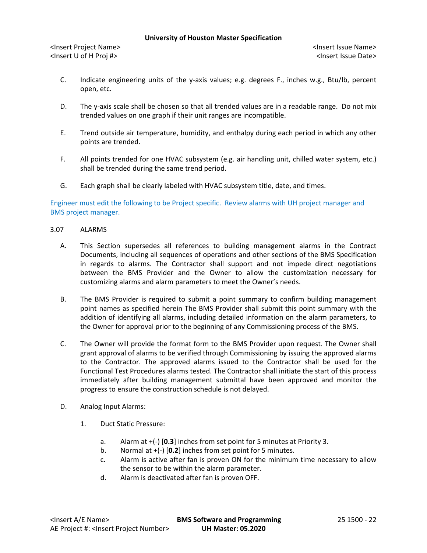<Insert Project Name> <Insert Issue Name> <Insert U of H Proj #> <Insert Issue Date>

- C. Indicate engineering units of the y-axis values; e.g. degrees F., inches w.g., Btu/lb, percent open, etc.
- D. The y-axis scale shall be chosen so that all trended values are in a readable range. Do not mix trended values on one graph if their unit ranges are incompatible.
- E. Trend outside air temperature, humidity, and enthalpy during each period in which any other points are trended.
- F. All points trended for one HVAC subsystem (e.g. air handling unit, chilled water system, etc.) shall be trended during the same trend period.
- G. Each graph shall be clearly labeled with HVAC subsystem title, date, and times.

# Engineer must edit the following to be Project specific. Review alarms with UH project manager and BMS project manager.

## 3.07 ALARMS

- A. This Section supersedes all references to building management alarms in the Contract Documents, including all sequences of operations and other sections of the BMS Specification in regards to alarms. The Contractor shall support and not impede direct negotiations between the BMS Provider and the Owner to allow the customization necessary for customizing alarms and alarm parameters to meet the Owner's needs.
- B. The BMS Provider is required to submit a point summary to confirm building management point names as specified herein The BMS Provider shall submit this point summary with the addition of identifying all alarms, including detailed information on the alarm parameters, to the Owner for approval prior to the beginning of any Commissioning process of the BMS.
- C. The Owner will provide the format form to the BMS Provider upon request. The Owner shall grant approval of alarms to be verified through Commissioning by issuing the approved alarms to the Contractor. The approved alarms issued to the Contractor shall be used for the Functional Test Procedures alarms tested. The Contractor shall initiate the start of this process immediately after building management submittal have been approved and monitor the progress to ensure the construction schedule is not delayed.
- D. Analog Input Alarms:
	- 1. Duct Static Pressure:
		- a. Alarm at +(-) [**0.3**] inches from set point for 5 minutes at Priority 3.
		- b. Normal at +(-) [**0.2**] inches from set point for 5 minutes.
		- c. Alarm is active after fan is proven ON for the minimum time necessary to allow the sensor to be within the alarm parameter.
		- d. Alarm is deactivated after fan is proven OFF.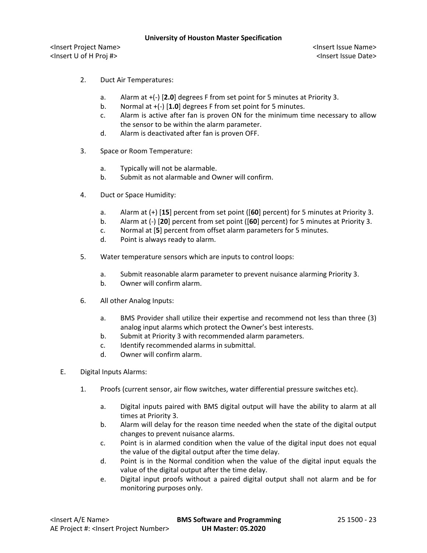- 2. Duct Air Temperatures:
	- a. Alarm at +(-) [**2.0**] degrees F from set point for 5 minutes at Priority 3.
	- b. Normal at +(-) [**1.0**] degrees F from set point for 5 minutes.
	- c. Alarm is active after fan is proven ON for the minimum time necessary to allow the sensor to be within the alarm parameter.
	- d. Alarm is deactivated after fan is proven OFF.
- 3. Space or Room Temperature:
	- a. Typically will not be alarmable.
	- b. Submit as not alarmable and Owner will confirm.
- 4. Duct or Space Humidity:
	- a. Alarm at (+) [**15**] percent from set point ([**60**] percent) for 5 minutes at Priority 3.
	- b. Alarm at (-) [**20**] percent from set point ([**60**] percent) for 5 minutes at Priority 3.
	- c. Normal at [**5**] percent from offset alarm parameters for 5 minutes.
	- d. Point is always ready to alarm.
- 5. Water temperature sensors which are inputs to control loops:
	- a. Submit reasonable alarm parameter to prevent nuisance alarming Priority 3.
	- b. Owner will confirm alarm.
- 6. All other Analog Inputs:
	- a. BMS Provider shall utilize their expertise and recommend not less than three (3) analog input alarms which protect the Owner's best interests.
	- b. Submit at Priority 3 with recommended alarm parameters.
	- c. Identify recommended alarms in submittal.
	- d. Owner will confirm alarm.
- E. Digital Inputs Alarms:
	- 1. Proofs (current sensor, air flow switches, water differential pressure switches etc).
		- a. Digital inputs paired with BMS digital output will have the ability to alarm at all times at Priority 3.
		- b. Alarm will delay for the reason time needed when the state of the digital output changes to prevent nuisance alarms.
		- c. Point is in alarmed condition when the value of the digital input does not equal the value of the digital output after the time delay.
		- d. Point is in the Normal condition when the value of the digital input equals the value of the digital output after the time delay.
		- e. Digital input proofs without a paired digital output shall not alarm and be for monitoring purposes only.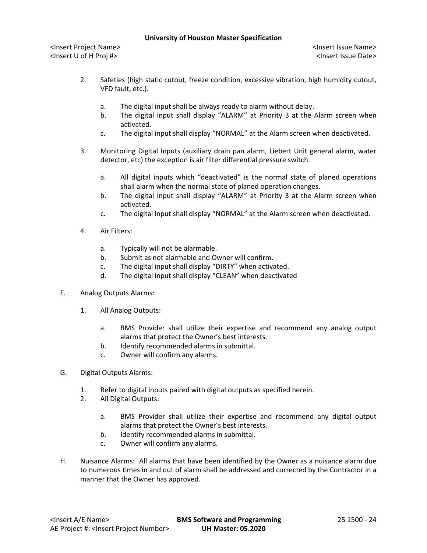- 2. Safeties (high static cutout, freeze condition, excessive vibration, high humidity cutout, VFD fault, etc.).
	- a. The digital input shall be always ready to alarm without delay.
	- b. The digital input shall display "ALARM" at Priority 3 at the Alarm screen when activated.
	- c. The digital input shall display "NORMAL" at the Alarm screen when deactivated.
- 3. Monitoring Digital Inputs (auxiliary drain pan alarm, Liebert Unit general alarm, water detector, etc) the exception is air filter differential pressure switch.
	- a. All digital inputs which "deactivated" is the normal state of planed operations shall alarm when the normal state of planed operation changes.
	- b. The digital input shall display "ALARM" at Priority 3 at the Alarm screen when activated.
	- c. The digital input shall display "NORMAL" at the Alarm screen when deactivated.
- 4. Air Filters:
	- a. Typically will not be alarmable.
	- b. Submit as not alarmable and Owner will confirm.
	- c. The digital input shall display "DIRTY" when activated.
	- d. The digital input shall display "CLEAN" when deactivated
- F. Analog Outputs Alarms:
	- 1. All Analog Outputs:
		- a. BMS Provider shall utilize their expertise and recommend any analog output alarms that protect the Owner's best interests.
		- b. Identify recommended alarms in submittal.
		- c. Owner will confirm any alarms.
- G. Digital Outputs Alarms:
	- 1. Refer to digital inputs paired with digital outputs as specified herein.
	- 2. All Digital Outputs:
		- a. BMS Provider shall utilize their expertise and recommend any digital output alarms that protect the Owner's best interests.
		- b. Identify recommended alarms in submittal.
		- c. Owner will confirm any alarms.
- H. Nuisance Alarms: All alarms that have been identified by the Owner as a nuisance alarm due to numerous times in and out of alarm shall be addressed and corrected by the Contractor in a manner that the Owner has approved.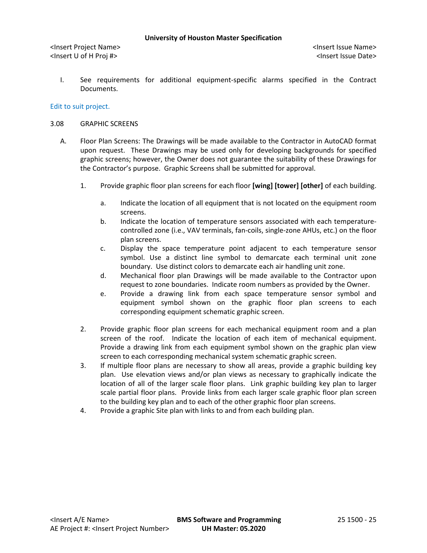<Insert Project Name> <Insert Issue Name> <Insert U of H Proj #> <Insert Issue Date>

I. See requirements for additional equipment-specific alarms specified in the Contract Documents.

## Edit to suit project.

#### 3.08 GRAPHIC SCREENS

- A. Floor Plan Screens: The Drawings will be made available to the Contractor in AutoCAD format upon request. These Drawings may be used only for developing backgrounds for specified graphic screens; however, the Owner does not guarantee the suitability of these Drawings for the Contractor's purpose. Graphic Screens shall be submitted for approval.
	- 1. Provide graphic floor plan screens for each floor **[wing] [tower] [other]** of each building.
		- a. Indicate the location of all equipment that is not located on the equipment room screens.
		- b. Indicate the location of temperature sensors associated with each temperaturecontrolled zone (i.e., VAV terminals, fan-coils, single-zone AHUs, etc.) on the floor plan screens.
		- c. Display the space temperature point adjacent to each temperature sensor symbol. Use a distinct line symbol to demarcate each terminal unit zone boundary. Use distinct colors to demarcate each air handling unit zone.
		- d. Mechanical floor plan Drawings will be made available to the Contractor upon request to zone boundaries. Indicate room numbers as provided by the Owner.
		- e. Provide a drawing link from each space temperature sensor symbol and equipment symbol shown on the graphic floor plan screens to each corresponding equipment schematic graphic screen.
	- 2. Provide graphic floor plan screens for each mechanical equipment room and a plan screen of the roof. Indicate the location of each item of mechanical equipment. Provide a drawing link from each equipment symbol shown on the graphic plan view screen to each corresponding mechanical system schematic graphic screen.
	- 3. If multiple floor plans are necessary to show all areas, provide a graphic building key plan. Use elevation views and/or plan views as necessary to graphically indicate the location of all of the larger scale floor plans. Link graphic building key plan to larger scale partial floor plans. Provide links from each larger scale graphic floor plan screen to the building key plan and to each of the other graphic floor plan screens.
	- 4. Provide a graphic Site plan with links to and from each building plan.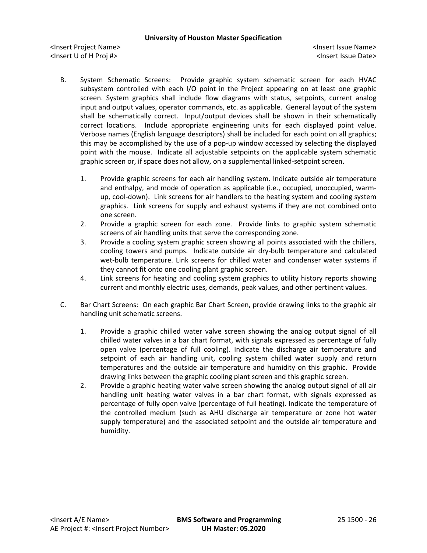- B. System Schematic Screens: Provide graphic system schematic screen for each HVAC subsystem controlled with each I/O point in the Project appearing on at least one graphic screen. System graphics shall include flow diagrams with status, setpoints, current analog input and output values, operator commands, etc. as applicable. General layout of the system shall be schematically correct. Input/output devices shall be shown in their schematically correct locations. Include appropriate engineering units for each displayed point value. Verbose names (English language descriptors) shall be included for each point on all graphics; this may be accomplished by the use of a pop-up window accessed by selecting the displayed point with the mouse. Indicate all adjustable setpoints on the applicable system schematic graphic screen or, if space does not allow, on a supplemental linked-setpoint screen.
	- 1. Provide graphic screens for each air handling system. Indicate outside air temperature and enthalpy, and mode of operation as applicable (i.e., occupied, unoccupied, warmup, cool-down). Link screens for air handlers to the heating system and cooling system graphics. Link screens for supply and exhaust systems if they are not combined onto one screen.
	- 2. Provide a graphic screen for each zone. Provide links to graphic system schematic screens of air handling units that serve the corresponding zone.
	- 3. Provide a cooling system graphic screen showing all points associated with the chillers, cooling towers and pumps. Indicate outside air dry-bulb temperature and calculated wet-bulb temperature. Link screens for chilled water and condenser water systems if they cannot fit onto one cooling plant graphic screen.
	- 4. Link screens for heating and cooling system graphics to utility history reports showing current and monthly electric uses, demands, peak values, and other pertinent values.
- C. Bar Chart Screens: On each graphic Bar Chart Screen, provide drawing links to the graphic air handling unit schematic screens.
	- 1. Provide a graphic chilled water valve screen showing the analog output signal of all chilled water valves in a bar chart format, with signals expressed as percentage of fully open valve (percentage of full cooling). Indicate the discharge air temperature and setpoint of each air handling unit, cooling system chilled water supply and return temperatures and the outside air temperature and humidity on this graphic. Provide drawing links between the graphic cooling plant screen and this graphic screen.
	- 2. Provide a graphic heating water valve screen showing the analog output signal of all air handling unit heating water valves in a bar chart format, with signals expressed as percentage of fully open valve (percentage of full heating). Indicate the temperature of the controlled medium (such as AHU discharge air temperature or zone hot water supply temperature) and the associated setpoint and the outside air temperature and humidity.